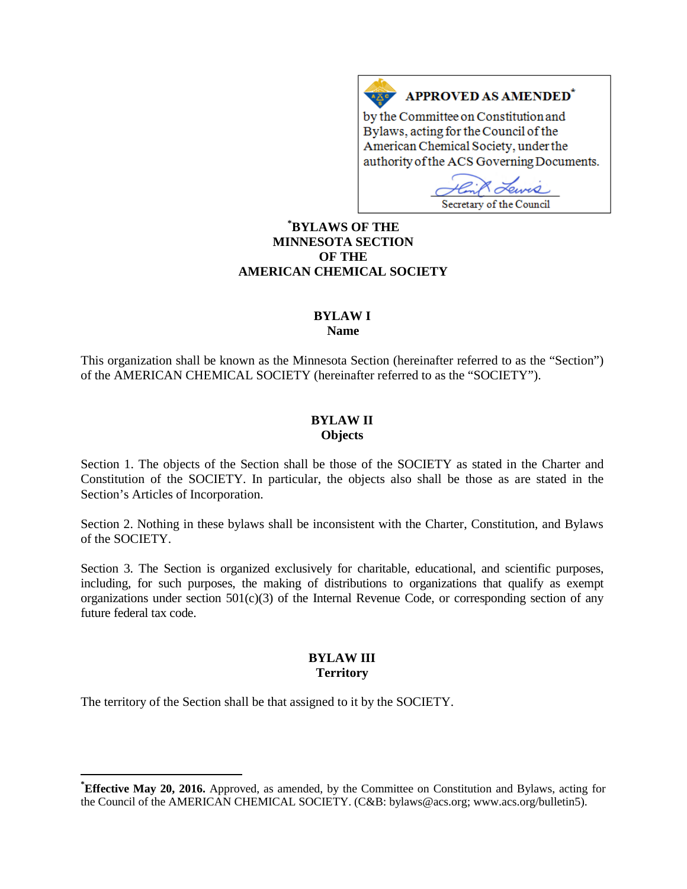# APPROVED AS AMENDED\*

by the Committee on Constitution and Bylaws, acting for the Council of the American Chemical Society, under the authority of the ACS Governing Documents.

*Omro* Secretary of the Council

# **[\\*](#page-0-0) BYLAWS OF THE MINNESOTA SECTION OF THE AMERICAN CHEMICAL SOCIETY**

# **BYLAW I**

**Name**

This organization shall be known as the Minnesota Section (hereinafter referred to as the "Section") of the AMERICAN CHEMICAL SOCIETY (hereinafter referred to as the "SOCIETY").

# **BYLAW II Objects**

Section 1. The objects of the Section shall be those of the SOCIETY as stated in the Charter and Constitution of the SOCIETY. In particular, the objects also shall be those as are stated in the Section's Articles of Incorporation.

Section 2. Nothing in these bylaws shall be inconsistent with the Charter, Constitution, and Bylaws of the SOCIETY.

Section 3. The Section is organized exclusively for charitable, educational, and scientific purposes, including, for such purposes, the making of distributions to organizations that qualify as exempt organizations under section  $501(c)(3)$  of the Internal Revenue Code, or corresponding section of any future federal tax code.

# **BYLAW III Territory**

The territory of the Section shall be that assigned to it by the SOCIETY.

<span id="page-0-0"></span>**\* Effective May 20, 2016.** Approved, as amended, by the Committee on Constitution and Bylaws, acting for the Council of the AMERICAN CHEMICAL SOCIETY. (C&B: bylaws@acs.org; www.acs.org/bulletin5).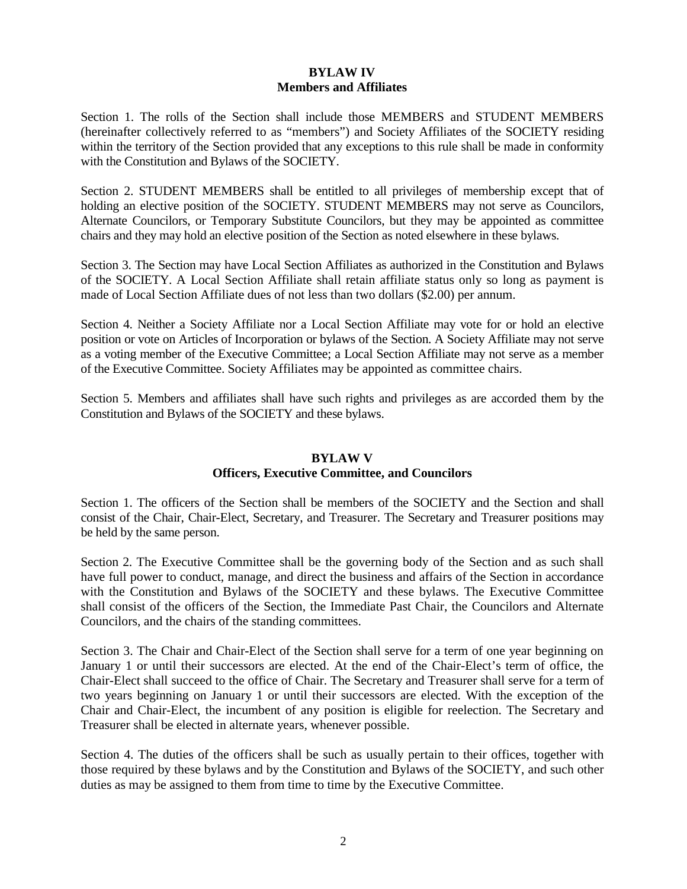# **BYLAW IV Members and Affiliates**

Section 1. The rolls of the Section shall include those MEMBERS and STUDENT MEMBERS (hereinafter collectively referred to as "members") and Society Affiliates of the SOCIETY residing within the territory of the Section provided that any exceptions to this rule shall be made in conformity with the Constitution and Bylaws of the SOCIETY.

Section 2. STUDENT MEMBERS shall be entitled to all privileges of membership except that of holding an elective position of the SOCIETY. STUDENT MEMBERS may not serve as Councilors, Alternate Councilors, or Temporary Substitute Councilors, but they may be appointed as committee chairs and they may hold an elective position of the Section as noted elsewhere in these bylaws.

Section 3. The Section may have Local Section Affiliates as authorized in the Constitution and Bylaws of the SOCIETY. A Local Section Affiliate shall retain affiliate status only so long as payment is made of Local Section Affiliate dues of not less than two dollars (\$2.00) per annum.

Section 4. Neither a Society Affiliate nor a Local Section Affiliate may vote for or hold an elective position or vote on Articles of Incorporation or bylaws of the Section. A Society Affiliate may not serve as a voting member of the Executive Committee; a Local Section Affiliate may not serve as a member of the Executive Committee. Society Affiliates may be appointed as committee chairs.

Section 5. Members and affiliates shall have such rights and privileges as are accorded them by the Constitution and Bylaws of the SOCIETY and these bylaws.

# **BYLAW V**

# **Officers, Executive Committee, and Councilors**

Section 1. The officers of the Section shall be members of the SOCIETY and the Section and shall consist of the Chair, Chair-Elect, Secretary, and Treasurer. The Secretary and Treasurer positions may be held by the same person.

Section 2. The Executive Committee shall be the governing body of the Section and as such shall have full power to conduct, manage, and direct the business and affairs of the Section in accordance with the Constitution and Bylaws of the SOCIETY and these bylaws. The Executive Committee shall consist of the officers of the Section, the Immediate Past Chair, the Councilors and Alternate Councilors, and the chairs of the standing committees.

Section 3. The Chair and Chair-Elect of the Section shall serve for a term of one year beginning on January 1 or until their successors are elected. At the end of the Chair-Elect's term of office, the Chair-Elect shall succeed to the office of Chair. The Secretary and Treasurer shall serve for a term of two years beginning on January 1 or until their successors are elected. With the exception of the Chair and Chair-Elect, the incumbent of any position is eligible for reelection. The Secretary and Treasurer shall be elected in alternate years, whenever possible.

Section 4. The duties of the officers shall be such as usually pertain to their offices, together with those required by these bylaws and by the Constitution and Bylaws of the SOCIETY, and such other duties as may be assigned to them from time to time by the Executive Committee.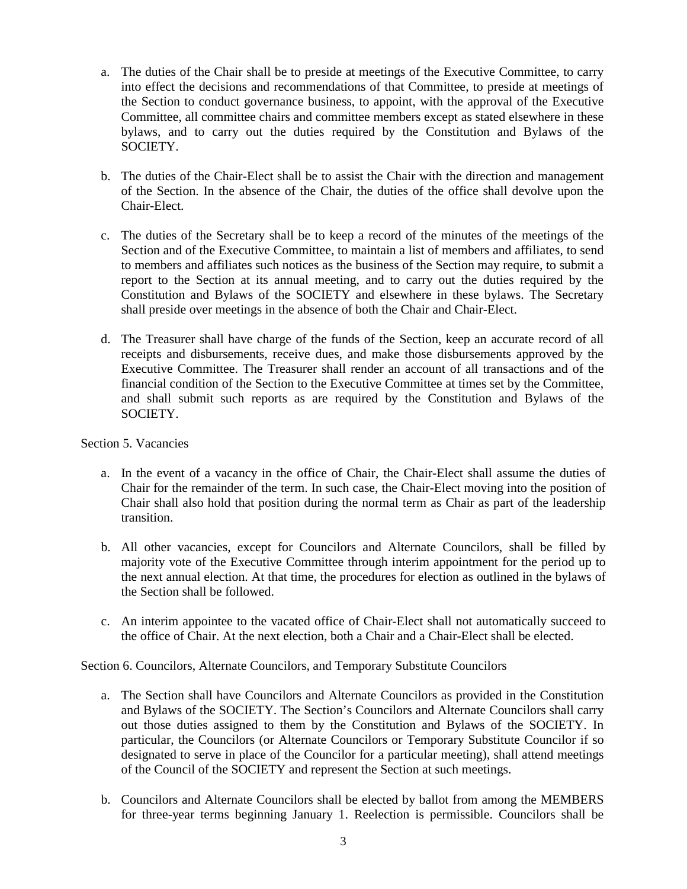- a. The duties of the Chair shall be to preside at meetings of the Executive Committee, to carry into effect the decisions and recommendations of that Committee, to preside at meetings of the Section to conduct governance business, to appoint, with the approval of the Executive Committee, all committee chairs and committee members except as stated elsewhere in these bylaws, and to carry out the duties required by the Constitution and Bylaws of the SOCIETY.
- b. The duties of the Chair-Elect shall be to assist the Chair with the direction and management of the Section. In the absence of the Chair, the duties of the office shall devolve upon the Chair-Elect.
- c. The duties of the Secretary shall be to keep a record of the minutes of the meetings of the Section and of the Executive Committee, to maintain a list of members and affiliates, to send to members and affiliates such notices as the business of the Section may require, to submit a report to the Section at its annual meeting, and to carry out the duties required by the Constitution and Bylaws of the SOCIETY and elsewhere in these bylaws. The Secretary shall preside over meetings in the absence of both the Chair and Chair-Elect.
- d. The Treasurer shall have charge of the funds of the Section, keep an accurate record of all receipts and disbursements, receive dues, and make those disbursements approved by the Executive Committee. The Treasurer shall render an account of all transactions and of the financial condition of the Section to the Executive Committee at times set by the Committee, and shall submit such reports as are required by the Constitution and Bylaws of the SOCIETY.

Section 5. Vacancies

- a. In the event of a vacancy in the office of Chair, the Chair-Elect shall assume the duties of Chair for the remainder of the term. In such case, the Chair-Elect moving into the position of Chair shall also hold that position during the normal term as Chair as part of the leadership transition.
- b. All other vacancies, except for Councilors and Alternate Councilors, shall be filled by majority vote of the Executive Committee through interim appointment for the period up to the next annual election. At that time, the procedures for election as outlined in the bylaws of the Section shall be followed.
- c. An interim appointee to the vacated office of Chair-Elect shall not automatically succeed to the office of Chair. At the next election, both a Chair and a Chair-Elect shall be elected.

Section 6. Councilors, Alternate Councilors, and Temporary Substitute Councilors

- a. The Section shall have Councilors and Alternate Councilors as provided in the Constitution and Bylaws of the SOCIETY. The Section's Councilors and Alternate Councilors shall carry out those duties assigned to them by the Constitution and Bylaws of the SOCIETY. In particular, the Councilors (or Alternate Councilors or Temporary Substitute Councilor if so designated to serve in place of the Councilor for a particular meeting), shall attend meetings of the Council of the SOCIETY and represent the Section at such meetings.
- b. Councilors and Alternate Councilors shall be elected by ballot from among the MEMBERS for three-year terms beginning January 1. Reelection is permissible. Councilors shall be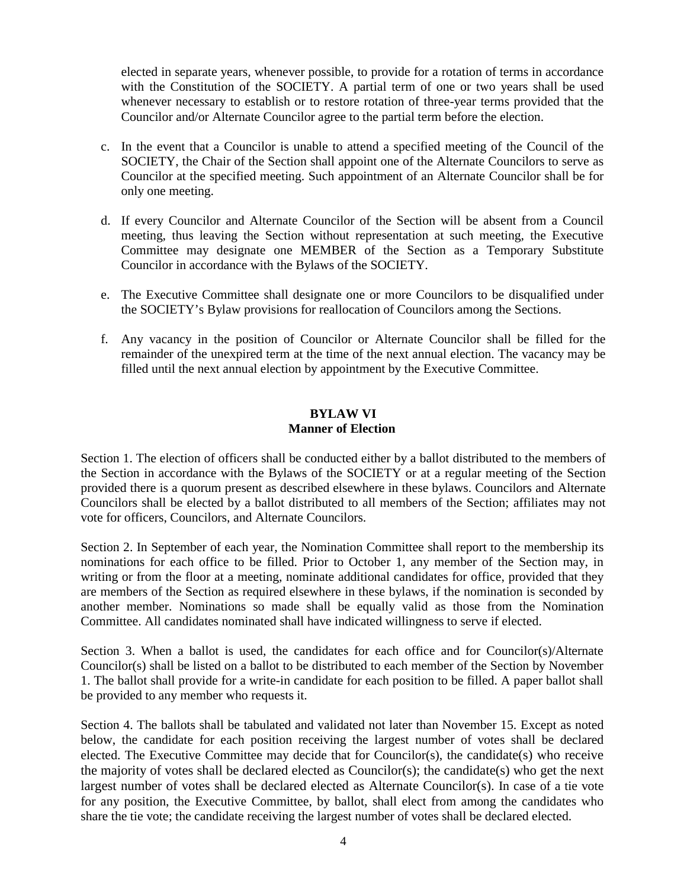elected in separate years, whenever possible, to provide for a rotation of terms in accordance with the Constitution of the SOCIETY. A partial term of one or two years shall be used whenever necessary to establish or to restore rotation of three-year terms provided that the Councilor and/or Alternate Councilor agree to the partial term before the election.

- c. In the event that a Councilor is unable to attend a specified meeting of the Council of the SOCIETY, the Chair of the Section shall appoint one of the Alternate Councilors to serve as Councilor at the specified meeting. Such appointment of an Alternate Councilor shall be for only one meeting.
- d. If every Councilor and Alternate Councilor of the Section will be absent from a Council meeting, thus leaving the Section without representation at such meeting, the Executive Committee may designate one MEMBER of the Section as a Temporary Substitute Councilor in accordance with the Bylaws of the SOCIETY.
- e. The Executive Committee shall designate one or more Councilors to be disqualified under the SOCIETY's Bylaw provisions for reallocation of Councilors among the Sections.
- f. Any vacancy in the position of Councilor or Alternate Councilor shall be filled for the remainder of the unexpired term at the time of the next annual election. The vacancy may be filled until the next annual election by appointment by the Executive Committee.

#### **BYLAW VI Manner of Election**

Section 1. The election of officers shall be conducted either by a ballot distributed to the members of the Section in accordance with the Bylaws of the SOCIETY or at a regular meeting of the Section provided there is a quorum present as described elsewhere in these bylaws. Councilors and Alternate Councilors shall be elected by a ballot distributed to all members of the Section; affiliates may not vote for officers, Councilors, and Alternate Councilors.

Section 2. In September of each year, the Nomination Committee shall report to the membership its nominations for each office to be filled. Prior to October 1, any member of the Section may, in writing or from the floor at a meeting, nominate additional candidates for office, provided that they are members of the Section as required elsewhere in these bylaws, if the nomination is seconded by another member. Nominations so made shall be equally valid as those from the Nomination Committee. All candidates nominated shall have indicated willingness to serve if elected.

Section 3. When a ballot is used, the candidates for each office and for Councilor(s)/Alternate Councilor(s) shall be listed on a ballot to be distributed to each member of the Section by November 1. The ballot shall provide for a write-in candidate for each position to be filled. A paper ballot shall be provided to any member who requests it.

Section 4. The ballots shall be tabulated and validated not later than November 15. Except as noted below, the candidate for each position receiving the largest number of votes shall be declared elected. The Executive Committee may decide that for Councilor(s), the candidate(s) who receive the majority of votes shall be declared elected as Councilor(s); the candidate(s) who get the next largest number of votes shall be declared elected as Alternate Councilor(s). In case of a tie vote for any position, the Executive Committee, by ballot, shall elect from among the candidates who share the tie vote; the candidate receiving the largest number of votes shall be declared elected.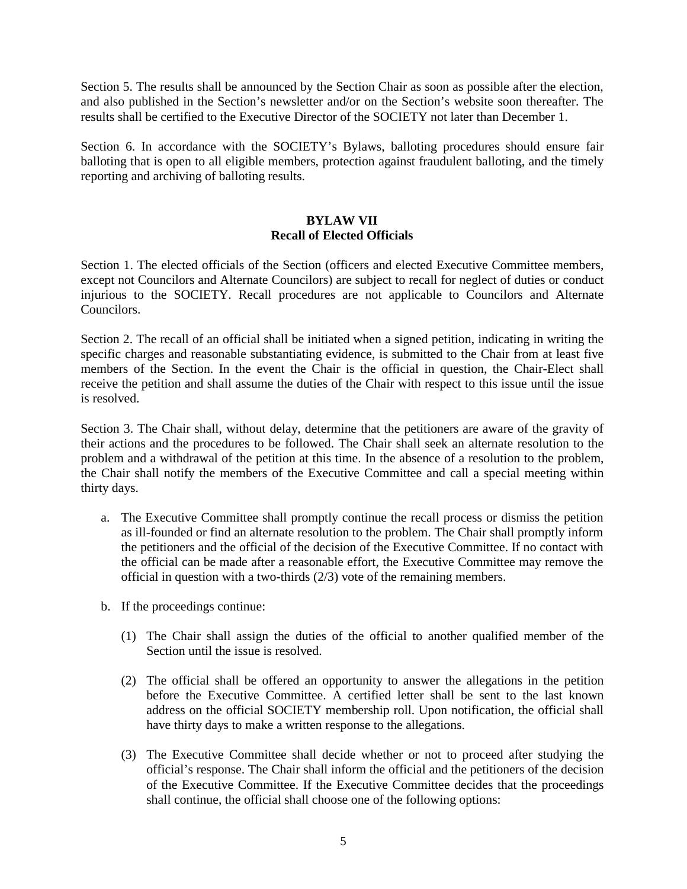Section 5. The results shall be announced by the Section Chair as soon as possible after the election, and also published in the Section's newsletter and/or on the Section's website soon thereafter. The results shall be certified to the Executive Director of the SOCIETY not later than December 1.

Section 6. In accordance with the SOCIETY's Bylaws, balloting procedures should ensure fair balloting that is open to all eligible members, protection against fraudulent balloting, and the timely reporting and archiving of balloting results.

# **BYLAW VII Recall of Elected Officials**

Section 1. The elected officials of the Section (officers and elected Executive Committee members, except not Councilors and Alternate Councilors) are subject to recall for neglect of duties or conduct injurious to the SOCIETY. Recall procedures are not applicable to Councilors and Alternate Councilors.

Section 2. The recall of an official shall be initiated when a signed petition, indicating in writing the specific charges and reasonable substantiating evidence, is submitted to the Chair from at least five members of the Section. In the event the Chair is the official in question, the Chair-Elect shall receive the petition and shall assume the duties of the Chair with respect to this issue until the issue is resolved.

Section 3. The Chair shall, without delay, determine that the petitioners are aware of the gravity of their actions and the procedures to be followed. The Chair shall seek an alternate resolution to the problem and a withdrawal of the petition at this time. In the absence of a resolution to the problem, the Chair shall notify the members of the Executive Committee and call a special meeting within thirty days.

- a. The Executive Committee shall promptly continue the recall process or dismiss the petition as ill-founded or find an alternate resolution to the problem. The Chair shall promptly inform the petitioners and the official of the decision of the Executive Committee. If no contact with the official can be made after a reasonable effort, the Executive Committee may remove the official in question with a two-thirds (2/3) vote of the remaining members.
- b. If the proceedings continue:
	- (1) The Chair shall assign the duties of the official to another qualified member of the Section until the issue is resolved.
	- (2) The official shall be offered an opportunity to answer the allegations in the petition before the Executive Committee. A certified letter shall be sent to the last known address on the official SOCIETY membership roll. Upon notification, the official shall have thirty days to make a written response to the allegations.
	- (3) The Executive Committee shall decide whether or not to proceed after studying the official's response. The Chair shall inform the official and the petitioners of the decision of the Executive Committee. If the Executive Committee decides that the proceedings shall continue, the official shall choose one of the following options: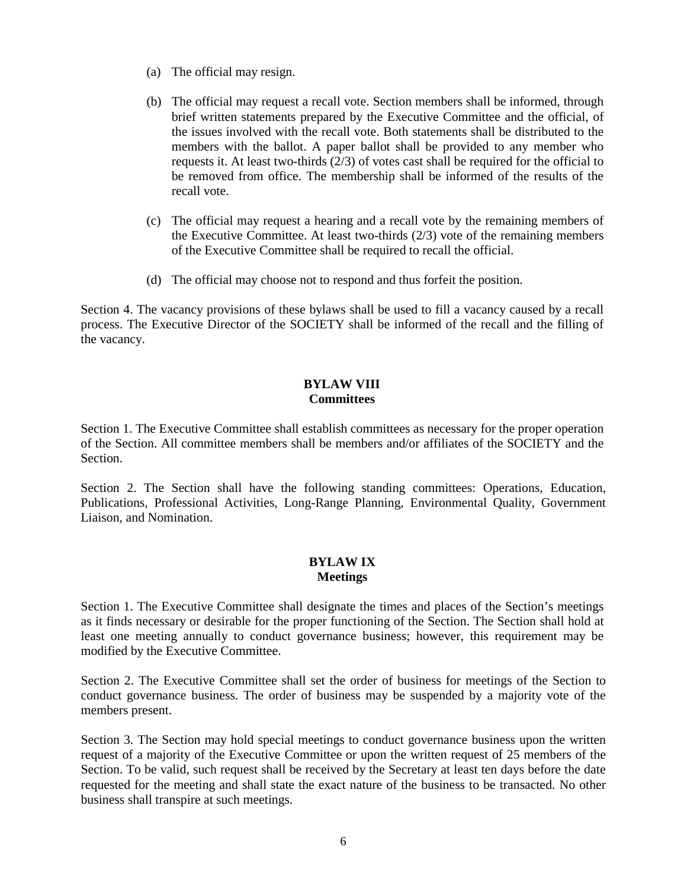- (a) The official may resign.
- (b) The official may request a recall vote. Section members shall be informed, through brief written statements prepared by the Executive Committee and the official, of the issues involved with the recall vote. Both statements shall be distributed to the members with the ballot. A paper ballot shall be provided to any member who requests it. At least two-thirds (2/3) of votes cast shall be required for the official to be removed from office. The membership shall be informed of the results of the recall vote.
- (c) The official may request a hearing and a recall vote by the remaining members of the Executive Committee. At least two-thirds (2/3) vote of the remaining members of the Executive Committee shall be required to recall the official.
- (d) The official may choose not to respond and thus forfeit the position.

Section 4. The vacancy provisions of these bylaws shall be used to fill a vacancy caused by a recall process. The Executive Director of the SOCIETY shall be informed of the recall and the filling of the vacancy.

# **BYLAW VIII Committees**

Section 1. The Executive Committee shall establish committees as necessary for the proper operation of the Section. All committee members shall be members and/or affiliates of the SOCIETY and the Section.

Section 2. The Section shall have the following standing committees: Operations, Education, Publications, Professional Activities, Long-Range Planning, Environmental Quality, Government Liaison, and Nomination.

# **BYLAW IX Meetings**

Section 1. The Executive Committee shall designate the times and places of the Section's meetings as it finds necessary or desirable for the proper functioning of the Section. The Section shall hold at least one meeting annually to conduct governance business; however, this requirement may be modified by the Executive Committee.

Section 2. The Executive Committee shall set the order of business for meetings of the Section to conduct governance business. The order of business may be suspended by a majority vote of the members present.

Section 3. The Section may hold special meetings to conduct governance business upon the written request of a majority of the Executive Committee or upon the written request of 25 members of the Section. To be valid, such request shall be received by the Secretary at least ten days before the date requested for the meeting and shall state the exact nature of the business to be transacted. No other business shall transpire at such meetings.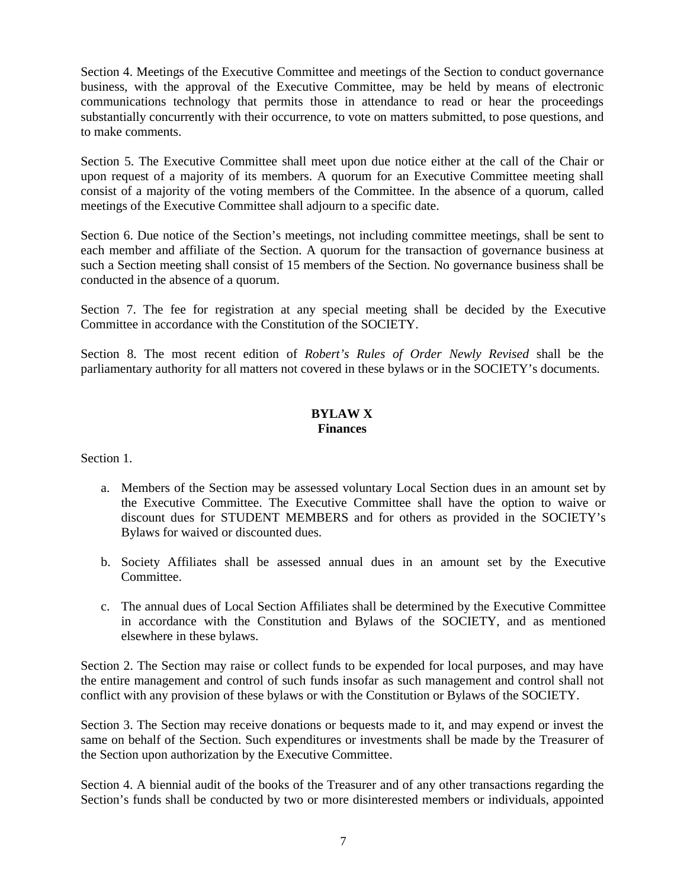Section 4. Meetings of the Executive Committee and meetings of the Section to conduct governance business, with the approval of the Executive Committee, may be held by means of electronic communications technology that permits those in attendance to read or hear the proceedings substantially concurrently with their occurrence, to vote on matters submitted, to pose questions, and to make comments.

Section 5. The Executive Committee shall meet upon due notice either at the call of the Chair or upon request of a majority of its members. A quorum for an Executive Committee meeting shall consist of a majority of the voting members of the Committee. In the absence of a quorum, called meetings of the Executive Committee shall adjourn to a specific date.

Section 6. Due notice of the Section's meetings, not including committee meetings, shall be sent to each member and affiliate of the Section. A quorum for the transaction of governance business at such a Section meeting shall consist of 15 members of the Section. No governance business shall be conducted in the absence of a quorum.

Section 7. The fee for registration at any special meeting shall be decided by the Executive Committee in accordance with the Constitution of the SOCIETY.

Section 8. The most recent edition of *Robert's Rules of Order Newly Revised* shall be the parliamentary authority for all matters not covered in these bylaws or in the SOCIETY's documents.

#### **BYLAW X Finances**

Section 1.

- a. Members of the Section may be assessed voluntary Local Section dues in an amount set by the Executive Committee. The Executive Committee shall have the option to waive or discount dues for STUDENT MEMBERS and for others as provided in the SOCIETY's Bylaws for waived or discounted dues.
- b. Society Affiliates shall be assessed annual dues in an amount set by the Executive Committee.
- c. The annual dues of Local Section Affiliates shall be determined by the Executive Committee in accordance with the Constitution and Bylaws of the SOCIETY, and as mentioned elsewhere in these bylaws.

Section 2. The Section may raise or collect funds to be expended for local purposes, and may have the entire management and control of such funds insofar as such management and control shall not conflict with any provision of these bylaws or with the Constitution or Bylaws of the SOCIETY.

Section 3. The Section may receive donations or bequests made to it, and may expend or invest the same on behalf of the Section. Such expenditures or investments shall be made by the Treasurer of the Section upon authorization by the Executive Committee.

Section 4. A biennial audit of the books of the Treasurer and of any other transactions regarding the Section's funds shall be conducted by two or more disinterested members or individuals, appointed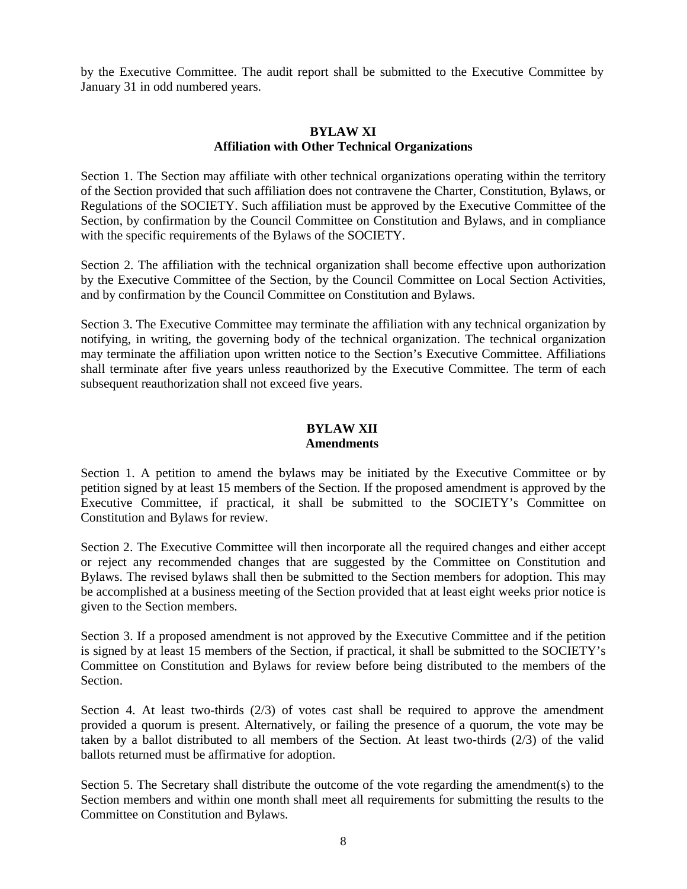by the Executive Committee. The audit report shall be submitted to the Executive Committee by January 31 in odd numbered years.

#### **BYLAW XI Affiliation with Other Technical Organizations**

Section 1. The Section may affiliate with other technical organizations operating within the territory of the Section provided that such affiliation does not contravene the Charter, Constitution, Bylaws, or Regulations of the SOCIETY. Such affiliation must be approved by the Executive Committee of the Section, by confirmation by the Council Committee on Constitution and Bylaws, and in compliance with the specific requirements of the Bylaws of the SOCIETY.

Section 2. The affiliation with the technical organization shall become effective upon authorization by the Executive Committee of the Section, by the Council Committee on Local Section Activities, and by confirmation by the Council Committee on Constitution and Bylaws.

Section 3. The Executive Committee may terminate the affiliation with any technical organization by notifying, in writing, the governing body of the technical organization. The technical organization may terminate the affiliation upon written notice to the Section's Executive Committee. Affiliations shall terminate after five years unless reauthorized by the Executive Committee. The term of each subsequent reauthorization shall not exceed five years.

#### **BYLAW XII Amendments**

Section 1. A petition to amend the bylaws may be initiated by the Executive Committee or by petition signed by at least 15 members of the Section. If the proposed amendment is approved by the Executive Committee, if practical, it shall be submitted to the SOCIETY's Committee on Constitution and Bylaws for review.

Section 2. The Executive Committee will then incorporate all the required changes and either accept or reject any recommended changes that are suggested by the Committee on Constitution and Bylaws. The revised bylaws shall then be submitted to the Section members for adoption. This may be accomplished at a business meeting of the Section provided that at least eight weeks prior notice is given to the Section members.

Section 3. If a proposed amendment is not approved by the Executive Committee and if the petition is signed by at least 15 members of the Section, if practical, it shall be submitted to the SOCIETY's Committee on Constitution and Bylaws for review before being distributed to the members of the Section.

Section 4. At least two-thirds  $(2/3)$  of votes cast shall be required to approve the amendment provided a quorum is present. Alternatively, or failing the presence of a quorum, the vote may be taken by a ballot distributed to all members of the Section. At least two-thirds (2/3) of the valid ballots returned must be affirmative for adoption.

Section 5. The Secretary shall distribute the outcome of the vote regarding the amendment(s) to the Section members and within one month shall meet all requirements for submitting the results to the Committee on Constitution and Bylaws.